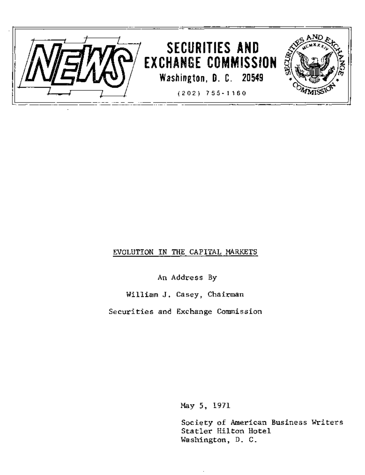

## EVOLUTION IN THE CAPITAL MARKETS

An Address By

William J. Casey, Chairman

Securities and Exchange Commission

May 5, 1971

Society of American Business Writers Statler Hilton Hotel Washington, D. C.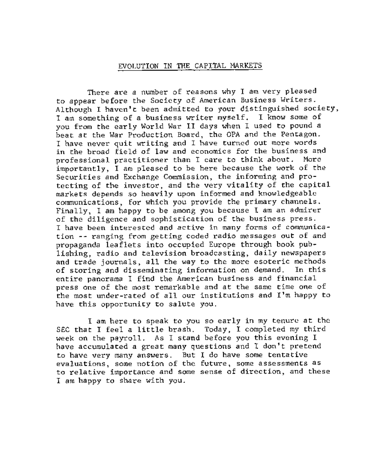## EVOLUTION IN THE CAPITAL MARKETS

There are a number of reasons why I am very pleased to appear before the Society of American Business Writers. Although I haven't been admitted to your distinguished society, I am something of a business writer myself. I know some of you from the early World War II days when I used to pound a beat at the War Production Board, the OPA and the Pentagon. I have never quit writing and I have turned out more words in the broad field of law and economics for the business and professional practitioner than I care to think about. More importantly, I am pleased to be here because the work of the Securities and Exchange Commission, the informing and protecting of the investor, and the very vitality of the capital markets depends so heavily upon informed and knowledgeable communications, for which you provide the primary channels. Finally, I am happy to be among you because I am an admirer of the diligence and sophistication of the business press. I have been interested and active in many forms of communication -- ranging from getting coded radio messages out of and propaganda leaflets into occupied Europe through book publishing, radio and television broadcasting, daily newspapers and trade journals, all the way to the more esoteric methods of storing and disseminating information on demand. In this entire panorama I find the American business and financial press one of the most remarkable and at the same time one of the most under-rated of all our institutions and I'm happy to have this opportunity to salute you.

I am here to speak to you so early in my tenure at the SEC that I feel a little brash. Today, I completed my third week on the payroll. As I stand before you this evening I have accumulated a great many questions and I don't pretend to have very many answers. But I do have some tentative evaluations, some notion of the future, some assessments as to relative importance and some sense of direction, and these I am happy to share with you.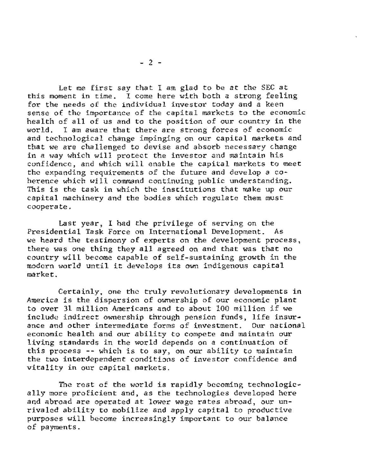Let me first say that I am glad to be at the SEC at this moment in time. I come here with both a strong feeling for the needs of the individual investor today and a keen sense of the importance of the capital markets to the economic health of all of us and to the position of our country in the world. I am aware that there are strong forces of economic and technological change impinging on our capital markets and that we are challenged to devise and absorb necessary change in a way which will protect the investor and maintain his confidence, and which will enable the capital markets to meet the expanding requirements of the future and develop a coherence which will command continuing public understanding. This is the task in which the institutions that make up our capital machinery and the bodies which regulate them must cooperate.

Last year, I had the privilege of serving on the Presidential Task Force on International Development. As we heard the testimony of experts on the development process, there was one thing they all agreed on and that was that no country will become capable of self-sustaining growth in the modern world until it develops its own indigenous capital market.

Certainly, one the truly revolutionary developments in America is the dispersion of ownership of our economic plant to over 31 million Americans and to about !00 million if we include indirect ownership through pension funds, life insurance and other intermediate forms of investment. Our national economic health and our ability to compete and maintain our living standards in the world depends on a continuation of this process -- which is to say, on our ability to maintain the two interdependent conditions of investor confidence and vitality in our capital markets.

The rest of the world is rapidly becoming technologically more proficient and, as the technologies developed here and abroad are operated at lower wage rates abroad, our unrivaled ability to mobilize and apply capital to productive purposes will become increasingly important to our balance of payments.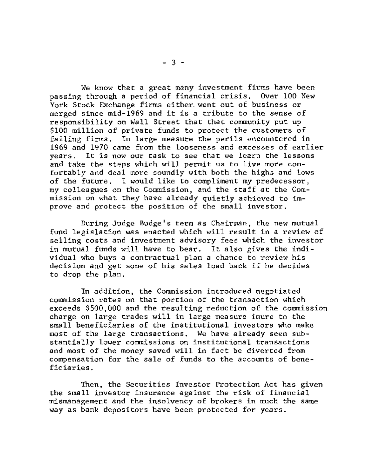We know that a great many investment firms have been passing through a period of financial crisis. Over I00 New York Stock Exchange firms either, went out of business or merged since mid-1969 and it is a tribute to the sense of responsibility on Wall Street that that community put up \$I00 million of private funds to protect the customers of failing firms. In large measure the perils encountered in 1969 and 1970 came from the looseness and excesses of earlier years. It is now our task to see that we learn the lessons and take the steps which will permit us to live more comfortably and deal more soundly with both the highs and lows of the future. I would like to compliment my predecessor, my colleagues on the Commission, and the staff at the Commission on what they have already quietly achieved to improve and protect the position of the small investor.

During Judge Budge's term as Chairman, the new mutual fund legislation was enacted which will result in a review of selling costs and investment advisory fees which the investor in mutual funds will have to bear. It also gives the individual who buys a contractual plan a chance to review his decision and get some of his sales load back if he decides to drop the plan.

In addition, the Commission introduced negotiated commission rates on that portion of the transaction which exceeds \$500,000 and the resulting reduction of the commission charge on large trades will in large measure inure to the small beneficiaries of the institutional investors who make most of the large transactions. We have already seen substantially lower commissions on institutional transactions and most of the money saved will in fact be diverted from compensation for the sale of funds to the accounts of beneficiaries.

Then, the Securities Investor Protection Act has given the small investor insurance against the risk of financial mismanagement and the insolvency of brokers in much the same way as bank depositors have been protected for years.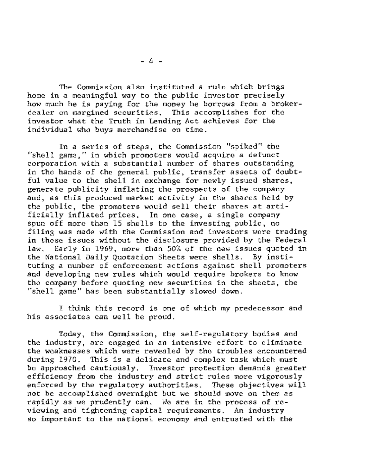The Commission also instituted a rule which brings home in a meaningful way to the public investor precisely how much he is paying for the money he borrows from a brokerdealer on margined securities. This accomplishes for the investor what the Truth in Lending Act achieves for the individual who buys merchandise on time.

In a series of steps, the Commission "spiked" the "shell game," in which promoters would acquire a defunct corporation with a substantial number of shares outstanding in the hands of the general public, transfer assets of doubtful value to the shell in exchange for newly issued shares, generate publicity inflating the prospects of the company and, as this produced market activity in the shares held by the public, the promoters would sell their shares at artificially inflated prices. In one case, a single company spun off more than 15 shells to the investing public, no filing was made with the Commission and investors were trading in these issues without the disclosure provided by the Federal law. Early in 1969, more than 50% of the new issues quoted in the National Daily Quotation Sheets were shells. By instituting a number of enforcement actions against shell promoters and developing new rules which would require brokers to know the company before quoting new securities in the sheets, the "shell game" has been substantially slowed down.

I think this record is one of which my predecessor and his associates can well be proud.

Today, the Commission, the self-regulatory bodies and the industry, are engaged in an intensive effort to eliminate the weaknesses which were revealed by the troubles encountered during 1970. This is a delicate and complex task which must be approached cautiously. Investor protection demands greater efficiency from the industry and strict rules more vigorously enforced by the regulatory authorities. These objectives will not be accomplished overnight but we should move on them as rapidly as we prudently can. We are in the process of reviewing and tightening capital requirements. An industry so important to the national economy and entrusted with the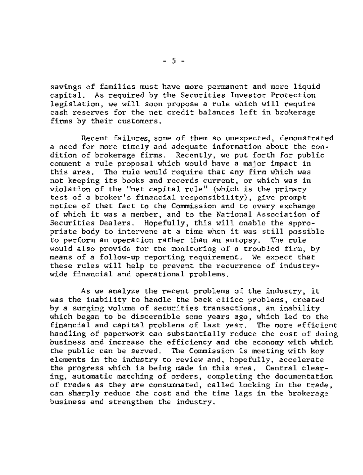savings of families must have more permanent and more liquid capital. As required by the Securities Investor Protection legislation, we will soon propose a rule which will require cash reserves for the net credit balances left in brokerage firms by their customers.

Recent failures, some of them so unexpected, demonstrated a need for more timely and adequate information about the condition of brokerage firms. Recently, we put forth for public comment a rule proposal which would have a major impact in this area. The rule would require that any firm which was not keeping its books and records current, or which was in violation of the "net capital rule" (which is the primary test of a broker's financial responsibility), give prompt notice of that fact to the Commission and to every exchange of which it was a member, and to the National Association of Securities Dealers. Hopefully, this will enable the appropriate body to intervene at a time when it was still possible to perform an operation rather than an autopsy. The rule would also provide for the monitoring of a troubled firm, by means of a follow-up reporting requirement. We expect that these rules will help to prevent the recurrence of industrywide financial and operational problems.

As we analyze the recent problems of the industry, it was the inability to handle the back office problems, created by a surging volume of securities transactions, an inability which began to be discernible some years ago, which led to the financial and capital problems of last year. The more efficient handling of paperwork can substantially reduce the cost of doing business and increase the efficiency and the economy with which the public can be served. The Commission is meeting with key elements in the industry to review and, hopefully, accelerate the progress which is being made in this area. Central clearing, automatic matching of orders, completing the documentation of trades as they are consummated, called locking in the trade, can sharply reduce the cost and the time lags in the brokerage business and strengthen the industry.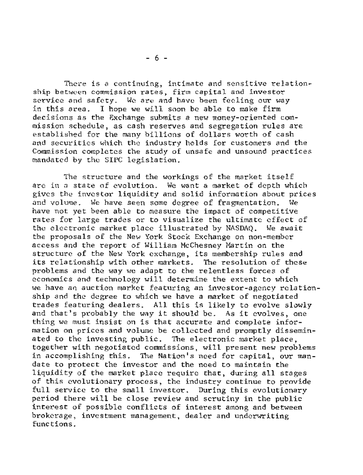There is a continuing, intimate and sensitive relationship between commission rates, firm capital and investor service and safety. We are and have been feeling our way in this area. I hope we will soon be able to make firm decisions as the Exchange submits a new money-oriented commission schedule, as cash reserves and segregation rules are established for the many billions of dollars worth of cash and securities which the industry holds for customers and the Commission completes the study of unsafe and unsound practices mandated by the SIPC legislation.

The structure and the workings of the market itself are in a state of evolution. We want a market of depth which gives the investor liquidity and solid information about prices and volume. We have seen some degree of fragmentation. We have not yet been able to measure the impact of competitive rates for large trades or to visualize the ultimate effect of the electronic market place illustrated by NASDAQ. We await the proposals of the New York Stock Exchange on non-member access and the report of William McChesney Martin on the structure of the New York exchange, its membership rules and its relationship with other markets. The resolution of these problems and the way we adapt to the relentless forces of economics and technology will determine the extent to which we have an auction market featuring an investor-agency relationship and the degree to which we have a market of negotiated trades featuring dealers. All this is likely to evolve slowly and that's probably the way it should be. As it evolves, one thing we must insist on is that accurate and complete information on prices and volume be collected and promptly disseminated to the investing public. The electronic market place, together with negotiated commissions, will present new problems in accomplishing this. The Nation's need for capital, our mandate to protect the investor and the need to maintain the liquidity of the market place require that, during all stages of this evolutionary process, the industry continue to provide full service to the small investor. During this evolutionary period there will be close review and scrutiny in the public interest of possible conflicts of interest among and between brokerage, investment management, dealer and underwriting functions.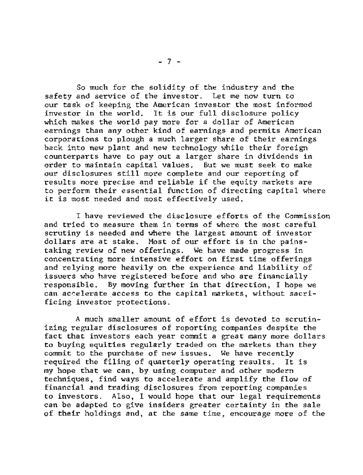So much for the solidity of the industry and the safety and service of the investor. Let me now turn to our task of keeping the American investor the most informed investor in the world. It is our full disclosure policy which makes the world pay more for a dollar of American earnings than any other kind of earnings and permits American corporations to plough a much larger share of their earnings back into new plant and new technology while their foreign counterparts have to pay out a larger share in dividends in order to maintain capital values. But we must seek to make our disclosures still more complete and our reporting of results more precise and reliable if the equity markets are to perform their essential function of directing capital where it is most needed and most effectively used.

I have reviewed the disclosure efforts of the Commission and tried to measure them in terms of where the most careful scrutiny is needed and where the largest amount of investor dollars are at stake. Most of our effort is in the painstaking review of new offerings. We have made progress in concentrating more intensive effort on first time offerings and relying more heavily on the experience and liability of issuers who have registered before and who are financially responsible. By moving further in that direction, I hope we can accelerate access to the capital markets, without sacrificing investor protections.

A much smaller amount of effort is devoted to scrutinizing regular disclosures of reporting companies despite the fact that investors each year commit a great many more dollars to buying equities regularly traded on the markets than they commit to the purchase of new issues. We have recently required the filing of quarterly operating results. It is my hope that we can, by using computer and other modern techniques, find ways to accelerate and amplify the flow of financial and trading disclosures from reporting companies to investors. Also, I would hope that our legal requirements can be adapted to give insiders greater certainty in the sale of their holdings and, at the same time, encourage more of the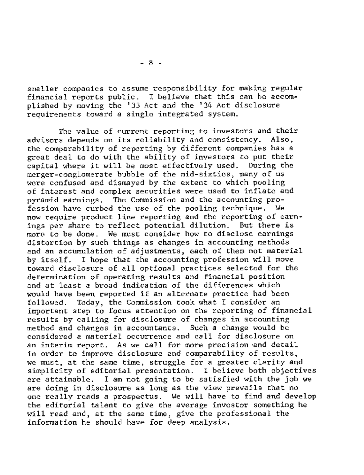smaller companies to assume responsibility for making regular financial reports public. I believe that this can be accomplished by moving the '33 Act and the '34 Act disclosure requirements toward a single integrated system.

The value of current reporting to investors and their advisors depends on its reliability and consistency. Also, the comparability of reporting by different companies has a great deal to do with the ability of investors to put their capital where it will be most effectively used. During the merger-conglomerate bubble of the mid-sixties, many of us were confused and dismayed by the extent to which pooling of interest and complex securities were used to inflate and pyramid earnings. The Commission and the accounting profession have curbed the use of the pooling technique. We now require product line reporting and the reporting of earnings per share to reflect potential dilution. But there is more to be done. We must consider how to disclose earnings distortion by such things as changes in accounting methods and an accumulation of adjustments, each of them not material by itself. I hope that the accounting profession will move toward disclosure of all optional practices selected for the determination of operating results and financial position and at least a broad indication of the differences which would have been reported if an alternate practice had been followed. Today, the Commission took what I consider an important step to focus attention on the reporting of financial results by calling for disclosure of changes in accounting method and changes in accountants. Such a change would be considered a material occurrence and call for disclosure on an interim report. As we call for more precision and detail in order to improve disclosure and comparability of results, we must, at the same time, struggle for a greater clarity and simplicity of editorial presentation, i believe both objectives are attainable. I am not going to be satisfied with the job we are doing in disclosure as long as the view prevails that no one really reads a prospectus. We will have to find and develop the editorial talent to give the average investor something he will read and, at the same time, give the professional the information he should have for deep analysis.